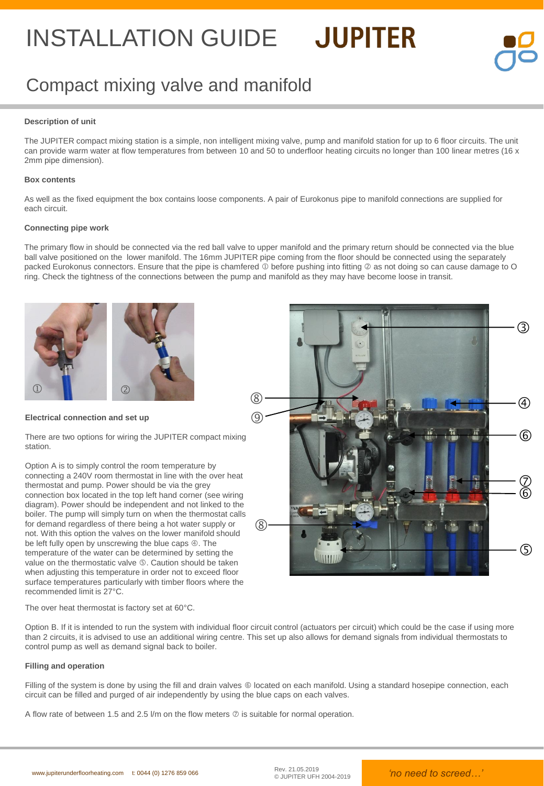# INSTALLATION GUIDE JUPITER



## Compact mixing valve and manifold

### **Description of unit**

The JUPITER compact mixing station is a simple, non intelligent mixing valve, pump and manifold station for up to 6 floor circuits. The unit can provide warm water at flow temperatures from between 10 and 50 to underfloor heating circuits no longer than 100 linear metres (16 x 2mm pipe dimension).

### **Box contents**

As well as the fixed equipment the box contains loose components. A pair of Eurokonus pipe to manifold connections are supplied for each circuit.

### **Connecting pipe work**

The primary flow in should be connected via the red ball valve to upper manifold and the primary return should be connected via the blue ball valve positioned on the lower manifold. The 16mm JUPITER pipe coming from the floor should be connected using the separately packed Eurokonus connectors. Ensure that the pipe is chamfered  $\Phi$  before pushing into fitting  $\Phi$  as not doing so can cause damage to O ring. Check the tightness of the connections between the pump and manifold as they may have become loose in transit.



### **Electrical connection and set up**

There are two options for wiring the JUPITER compact mixing station.

Option A is to simply control the room temperature by connecting a 240V room thermostat in line with the over heat thermostat and pump. Power should be via the grey connection box located in the top left hand corner (see wiring diagram). Power should be independent and not linked to the boiler. The pump will simply turn on when the thermostat calls for demand regardless of there being a hot water supply or not. With this option the valves on the lower manifold should be left fully open by unscrewing the blue caps  $\circledast$ . The temperature of the water can be determined by setting the value on the thermostatic valve **5**. Caution should be taken when adjusting this temperature in order not to exceed floor surface temperatures particularly with timber floors where the recommended limit is 27°C.



The over heat thermostat is factory set at 60°C.

Option B. If it is intended to run the system with individual floor circuit control (actuators per circuit) which could be the case if using more than 2 circuits, it is advised to use an additional wiring centre. This set up also allows for demand signals from individual thermostats to control pump as well as demand signal back to boiler.

#### **Filling and operation**

Filling of the system is done by using the fill and drain valves © located on each manifold. Using a standard hosepipe connection, each circuit can be filled and purged of air independently by using the blue caps on each valves.

A flow rate of between 1.5 and 2.5  $\mathsf{l}/\mathsf{m}$  on the flow meters  $\oslash$  is suitable for normal operation.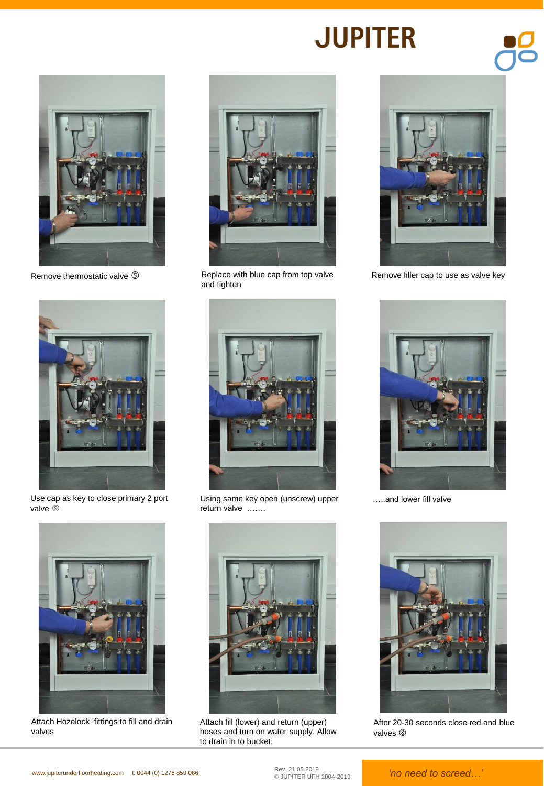# **JUPITER**





Remove thermostatic valve **S** Replace with blue cap from top valve and tighten



Remove filler cap to use as valve key



Use cap as key to close primary 2 port valve <sup>9</sup>



Using same key open (unscrew) upper return valve …….



Attach Hozelock fittings to fill and drain valves



Attach fill (lower) and return (upper) hoses and turn on water supply. Allow to drain in to bucket.



…..and lower fill valve



After 20-30 seconds close red and blue valves <sup>®</sup>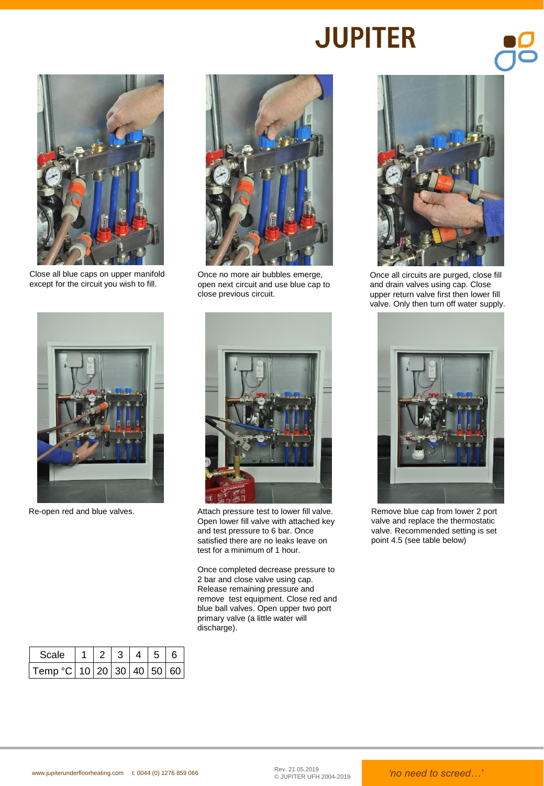# **JUPITER**



Close all blue caps on upper manifold except for the circuit you wish to fill.



Once no more air bubbles emerge, open next circuit and use blue cap to close previous circuit.





Re-open red and blue valves. Attach pressure test to lower fill valve. Open lower fill valve with attached key and test pressure to 6 bar. Once satisfied there are no leaks leave on test for a minimum of 1 hour.

Once completed decrease pressure to 2 bar and close valve using cap. Release remaining pressure and remove test equipment. Close red and blue ball valves. Open upper two port primary valve (a little water will discharge).



Once all circuits are purged, close fill and drain valves using cap. Close upper return valve first then lower fill valve. Only then turn off water supply.



Remove blue cap from lower 2 port valve and replace the thermostatic valve. Recommended setting is set point 4.5 (see table below)

|                                       |  |  | ี |
|---------------------------------------|--|--|---|
| Temp °C   10   20   30   40   50   60 |  |  |   |